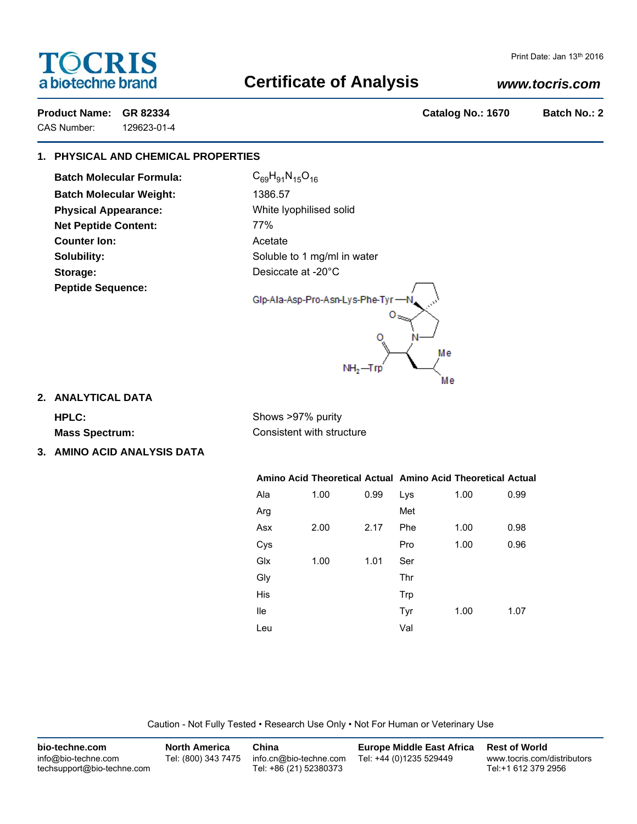# TOCRIS a biotechne brand

# Print Date: Jan 13th 2016

# **Certificate of Analysis**

# *www.tocris.com*

**Product Name: GR 82334 Catalog No.: 1670 Batch No.: 2**

CAS Number: 129623-01-4

# **1. PHYSICAL AND CHEMICAL PROPERTIES**

**Batch Molecular Formula:** C<sub>69</sub>H<sub>91</sub>N<sub>15</sub>O<sub>16</sub> **Batch Molecular Weight:** 1386.57 **Physical Appearance:** White lyophilised solid **Net Peptide Content:** 77% **Counter Ion:** Acetate **Storage:** Desiccate at -20°C **Peptide Sequence:**

**Solubility:** Soluble to 1 mg/ml in water



**2. ANALYTICAL DATA**

**HPLC:** Shows >97% purity **Mass Spectrum:** Consistent with structure

**3. AMINO ACID ANALYSIS DATA**

**Amino Acid Theoretical Actual Amino Acid Theoretical Actual** Ala 1.00 0.99 Arg Asx 2.00 2.17 Cys Glx 1.00 1.01 Gly His Ile Leu Lys 1.00 0.99 Met Phe 1.00 0.98 Pro 1.00 0.96 Ser Thr Trp Tyr 1.00 1.07 Val

Caution - Not Fully Tested • Research Use Only • Not For Human or Veterinary Use

| bio-techne.com                                    | <b>North America</b> | China                                            | <b>Europe Middle East Africa</b> | <b>Rest of World</b>                               |
|---------------------------------------------------|----------------------|--------------------------------------------------|----------------------------------|----------------------------------------------------|
| info@bio-techne.com<br>techsupport@bio-techne.com | Tel: (800) 343 7475  | info.cn@bio-techne.com<br>Tel: +86 (21) 52380373 | Tel: +44 (0)1235 529449          | www.tocris.com/distributors<br>Tel:+1 612 379 2956 |